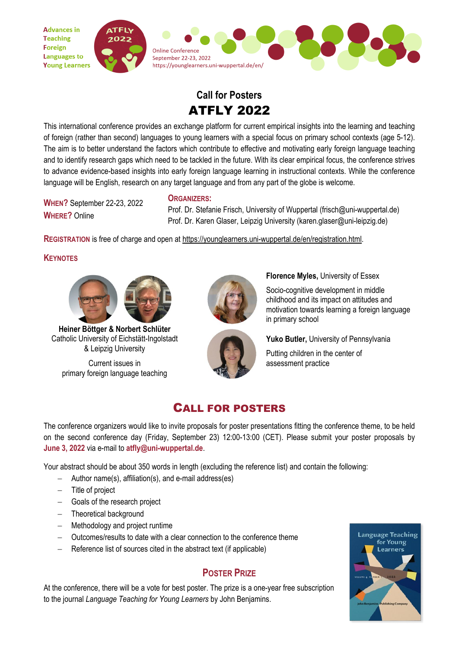

# **Call for Posters** ATFLY 2022

This international conference provides an exchange platform for current empirical insights into the learning and teaching of foreign (rather than second) languages to young learners with a special focus on primary school contexts (age 5-12). The aim is to better understand the factors which contribute to effective and motivating early foreign language teaching and to identify research gaps which need to be tackled in the future. With its clear empirical focus, the conference strives to advance evidence-based insights into early foreign language learning in instructional contexts. While the conference language will be English, research on any target language and from any part of the globe is welcome.

**WHEN?** September 22-23, 2022 **WHERE?** Online

Prof. Dr. Stefanie Frisch, University of Wuppertal (frisch@uni-wuppertal.de) Prof. Dr. Karen Glaser, Leipzig University (karen.glaser@uni-leipzig.de)

**REGISTRATION** is free of charge and open at [https://younglearners.uni-wuppertal.de/en/registration.html.](https://younglearners.uni-wuppertal.de/en/registration.html)

**ORGANIZERS:**

#### **KEYNOTES**



**Heiner Böttger & Norbert Schlüter** Catholic University of Eichstätt-Ingolstadt & Leipzig University

Current issues in primary foreign language teaching



**Florence Myles,** University of Essex

Socio-cognitive development in middle childhood and its impact on attitudes and motivation towards learning a foreign language in primary school

**Yuko Butler,** University of Pennsylvania Putting children in the center of assessment practice

### CALL FOR POSTERS

The conference organizers would like to invite proposals for poster presentations fitting the conference theme, to be held on the second conference day (Friday, September 23) 12:00-13:00 (CET). Please submit your poster proposals by **June 3, 2022** via e-mail to **atfly@uni-wuppertal.de**.

Your abstract should be about 350 words in length (excluding the reference list) and contain the following:

- − Author name(s), affiliation(s), and e-mail address(es)
- − Title of project
- − Goals of the research project
- − Theoretical background
- − Methodology and project runtime
- − Outcomes/results to date with a clear connection to the conference theme
- − Reference list of sources cited in the abstract text (if applicable)

### **POSTER PRIZE**

At the conference, there will be a vote for best poster. The prize is a one-year free subscription to the journal *[Language Teaching for Young Learners](https://benjamins.com/catalog/ltyl)* by John Benjamins.

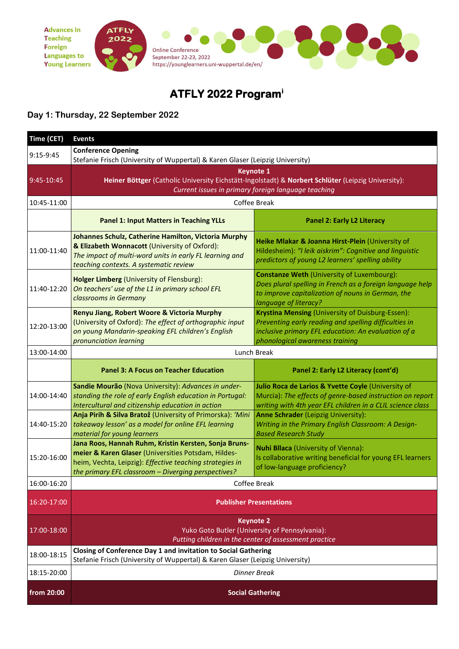

## **ATFLY 2022 Program[i](#page-2-0)**

#### **Day 1: Thursday, 22 September 2022**

| Time (CET)  | <b>Events</b>                                                                                                                                                                                                                   |                                                                                                                                                                                                     |
|-------------|---------------------------------------------------------------------------------------------------------------------------------------------------------------------------------------------------------------------------------|-----------------------------------------------------------------------------------------------------------------------------------------------------------------------------------------------------|
| $9:15-9:45$ | <b>Conference Opening</b><br>Stefanie Frisch (University of Wuppertal) & Karen Glaser (Leipzig University)                                                                                                                      |                                                                                                                                                                                                     |
| 9:45-10:45  | <b>Keynote 1</b><br>Heiner Böttger (Catholic University Eichstätt-Ingolstadt) & Norbert Schlüter (Leipzig University):<br>Current issues in primary foreign language teaching                                                   |                                                                                                                                                                                                     |
| 10:45-11:00 | Coffee Break                                                                                                                                                                                                                    |                                                                                                                                                                                                     |
|             | <b>Panel 1: Input Matters in Teaching YLLs</b>                                                                                                                                                                                  | <b>Panel 2: Early L2 Literacy</b>                                                                                                                                                                   |
| 11:00-11:40 | Johannes Schulz, Catherine Hamilton, Victoria Murphy<br>& Elizabeth Wonnacott (University of Oxford):<br>The impact of multi-word units in early FL learning and<br>teaching contexts. A systematic review                      | Heike Mlakar & Joanna Hirst-Plein (University of<br>Hildesheim): "I leik aiskrim": Cognitive and linguistic<br>predictors of young L2 learners' spelling ability                                    |
| 11:40-12:20 | Holger Limberg (University of Flensburg):<br>On teachers' use of the L1 in primary school EFL<br>classrooms in Germany                                                                                                          | <b>Constanze Weth (University of Luxembourg):</b><br>Does plural spelling in French as a foreign language help<br>to improve capitalization of nouns in German, the<br>language of literacy?        |
| 12:20-13:00 | Renyu Jiang, Robert Woore & Victoria Murphy<br>(University of Oxford): The effect of orthographic input<br>on young Mandarin-speaking EFL children's English<br>pronunciation learning                                          | Krystina Mensing (University of Duisburg-Essen):<br>Preventing early reading and spelling difficulties in<br>inclusive primary EFL education: An evaluation of a<br>phonological awareness training |
| 13:00-14:00 | Lunch Break                                                                                                                                                                                                                     |                                                                                                                                                                                                     |
|             | <b>Panel 3: A Focus on Teacher Education</b>                                                                                                                                                                                    | Panel 2: Early L2 Literacy (cont'd)                                                                                                                                                                 |
| 14:00-14:40 | Sandie Mourão (Nova University): Advances in under-<br>standing the role of early English education in Portugal:<br>Intercultural and citizenship education in action                                                           | Julio Roca de Larios & Yvette Coyle (University of<br>Murcia): The effects of genre-based instruction on report<br>writing with 4th year EFL children in a CLIL science class                       |
| 14:40-15:20 | Anja Pirih & Silva Bratož (University of Primorska): 'Mini<br>takeaway lesson' as a model for online EFL learning<br>material for young learners                                                                                | <b>Anne Schrader (Leipzig University):</b><br>Writing in the Primary English Classroom: A Design-<br><b>Based Research Study</b>                                                                    |
| 15:20-16:00 | Jana Roos, Hannah Ruhm, Kristin Kersten, Sonja Bruns-<br>meier & Karen Glaser (Universities Potsdam, Hildes-<br>heim, Vechta, Leipzig): Effective teaching strategies in<br>the primary EFL classroom - Diverging perspectives? | <b>Nuhi Bllaca (University of Vienna):</b><br>Is collaborative writing beneficial for young EFL learners<br>of low-language proficiency?                                                            |
| 16:00-16:20 | Coffee Break                                                                                                                                                                                                                    |                                                                                                                                                                                                     |
| 16:20-17:00 | <b>Publisher Presentations</b>                                                                                                                                                                                                  |                                                                                                                                                                                                     |
| 17:00-18:00 | <b>Keynote 2</b><br>Yuko Goto Butler (University of Pennsylvania):<br>Putting children in the center of assessment practice                                                                                                     |                                                                                                                                                                                                     |
| 18:00-18:15 | Closing of Conference Day 1 and invitation to Social Gathering<br>Stefanie Frisch (University of Wuppertal) & Karen Glaser (Leipzig University)                                                                                 |                                                                                                                                                                                                     |
| 18:15-20:00 | <b>Dinner Break</b>                                                                                                                                                                                                             |                                                                                                                                                                                                     |
| from 20:00  | <b>Social Gathering</b>                                                                                                                                                                                                         |                                                                                                                                                                                                     |